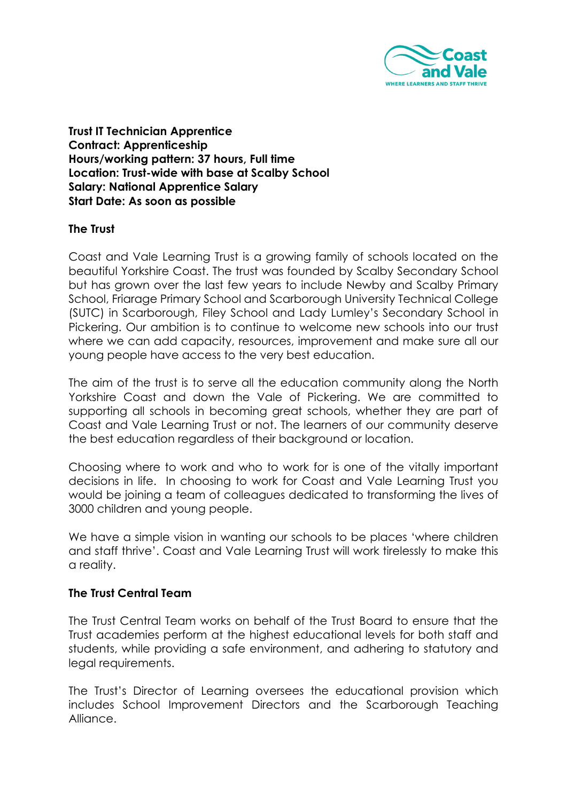

**Trust IT Technician Apprentice Contract: Apprenticeship Hours/working pattern: 37 hours, Full time Location: Trust-wide with base at Scalby School Salary: National Apprentice Salary Start Date: As soon as possible** 

#### **The Trust**

Coast and Vale Learning Trust is a growing family of schools located on the beautiful Yorkshire Coast. The trust was founded by Scalby Secondary School but has grown over the last few years to include Newby and Scalby Primary School, Friarage Primary School and Scarborough University Technical College (SUTC) in Scarborough, Filey School and Lady Lumley's Secondary School in Pickering. Our ambition is to continue to welcome new schools into our trust where we can add capacity, resources, improvement and make sure all our young people have access to the very best education.

The aim of the trust is to serve all the education community along the North Yorkshire Coast and down the Vale of Pickering. We are committed to supporting all schools in becoming great schools, whether they are part of Coast and Vale Learning Trust or not. The learners of our community deserve the best education regardless of their background or location.

Choosing where to work and who to work for is one of the vitally important decisions in life. In choosing to work for Coast and Vale Learning Trust you would be joining a team of colleagues dedicated to transforming the lives of 3000 children and young people.

We have a simple vision in wanting our schools to be places 'where children and staff thrive'. Coast and Vale Learning Trust will work tirelessly to make this a reality.

#### **The Trust Central Team**

The Trust Central Team works on behalf of the Trust Board to ensure that the Trust academies perform at the highest educational levels for both staff and students, while providing a safe environment, and adhering to statutory and legal requirements.

The Trust's Director of Learning oversees the educational provision which includes School Improvement Directors and the Scarborough Teaching Alliance.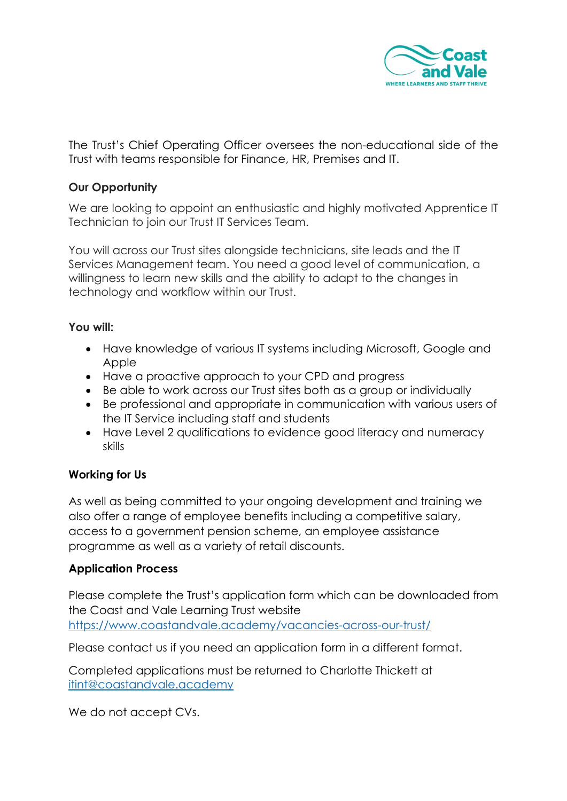

The Trust's Chief Operating Officer oversees the non-educational side of the Trust with teams responsible for Finance, HR, Premises and IT.

## **Our Opportunity**

We are looking to appoint an enthusiastic and highly motivated Apprentice IT Technician to join our Trust IT Services Team.

You will across our Trust sites alongside technicians, site leads and the IT Services Management team. You need a good level of communication, a willingness to learn new skills and the ability to adapt to the changes in technology and workflow within our Trust.

### **You will:**

- Have knowledge of various IT systems including Microsoft, Google and **Apple**
- Have a proactive approach to your CPD and progress
- Be able to work across our Trust sites both as a group or individually
- Be professional and appropriate in communication with various users of the IT Service including staff and students
- Have Level 2 qualifications to evidence good literacy and numeracy skills

### **Working for Us**

As well as being committed to your ongoing development and training we also offer a range of employee benefits including a competitive salary, access to a government pension scheme, an employee assistance programme as well as a variety of retail discounts.

### **Application Process**

Please complete the Trust's application form which can be downloaded from the Coast and Vale Learning Trust website <https://www.coastandvale.academy/vacancies-across-our-trust/>

Please contact us if you need an application form in a different format.

Completed applications must be returned to Charlotte Thickett at [itint@coastandvale.academy](mailto:itint@coastandvale.academy)

We do not accept CVs.